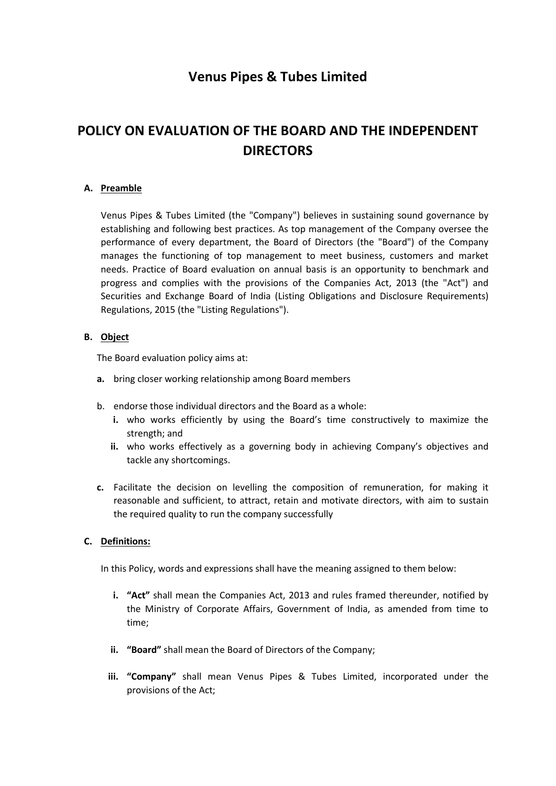# **Venus Pipes & Tubes Limited**

# **POLICY ON EVALUATION OF THE BOARD AND THE INDEPENDENT DIRECTORS**

# **A. Preamble**

Venus Pipes & Tubes Limited (the "Company") believes in sustaining sound governance by establishing and following best practices. As top management of the Company oversee the performance of every department, the Board of Directors (the "Board") of the Company manages the functioning of top management to meet business, customers and market needs. Practice of Board evaluation on annual basis is an opportunity to benchmark and progress and complies with the provisions of the Companies Act, 2013 (the "Act") and Securities and Exchange Board of India (Listing Obligations and Disclosure Requirements) Regulations, 2015 (the "Listing Regulations").

#### **B. Object**

The Board evaluation policy aims at:

- **a.** bring closer working relationship among Board members
- b. endorse those individual directors and the Board as a whole:
	- **i.** who works efficiently by using the Board's time constructively to maximize the strength; and
	- **ii.** who works effectively as a governing body in achieving Company's objectives and tackle any shortcomings.
- **c.** Facilitate the decision on levelling the composition of remuneration, for making it reasonable and sufficient, to attract, retain and motivate directors, with aim to sustain the required quality to run the company successfully

#### **C. Definitions:**

In this Policy, words and expressions shall have the meaning assigned to them below:

- **i. "Act"** shall mean the Companies Act, 2013 and rules framed thereunder, notified by the Ministry of Corporate Affairs, Government of India, as amended from time to time;
- **ii. "Board"** shall mean the Board of Directors of the Company;
- **iii. "Company"** shall mean Venus Pipes & Tubes Limited, incorporated under the provisions of the Act;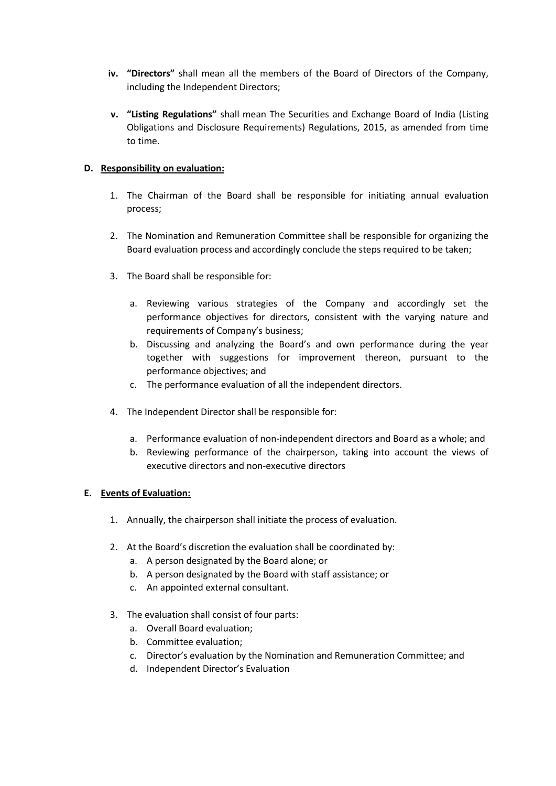- **iv. "Directors"** shall mean all the members of the Board of Directors of the Company, including the Independent Directors;
- **v. "Listing Regulations"** shall mean The Securities and Exchange Board of India (Listing Obligations and Disclosure Requirements) Regulations, 2015, as amended from time to time.

# **D. Responsibility on evaluation:**

- 1. The Chairman of the Board shall be responsible for initiating annual evaluation process;
- 2. The Nomination and Remuneration Committee shall be responsible for organizing the Board evaluation process and accordingly conclude the steps required to be taken;
- 3. The Board shall be responsible for:
	- a. Reviewing various strategies of the Company and accordingly set the performance objectives for directors, consistent with the varying nature and requirements of Company's business;
	- b. Discussing and analyzing the Board's and own performance during the year together with suggestions for improvement thereon, pursuant to the performance objectives; and
	- c. The performance evaluation of all the independent directors.
- 4. The Independent Director shall be responsible for:
	- a. Performance evaluation of non-independent directors and Board as a whole; and
	- b. Reviewing performance of the chairperson, taking into account the views of executive directors and non-executive directors

# **E. Events of Evaluation:**

- 1. Annually, the chairperson shall initiate the process of evaluation.
- 2. At the Board's discretion the evaluation shall be coordinated by:
	- a. A person designated by the Board alone; or
	- b. A person designated by the Board with staff assistance; or
	- c. An appointed external consultant.
- 3. The evaluation shall consist of four parts:
	- a. Overall Board evaluation;
	- b. Committee evaluation;
	- c. Director's evaluation by the Nomination and Remuneration Committee; and
	- d. Independent Director's Evaluation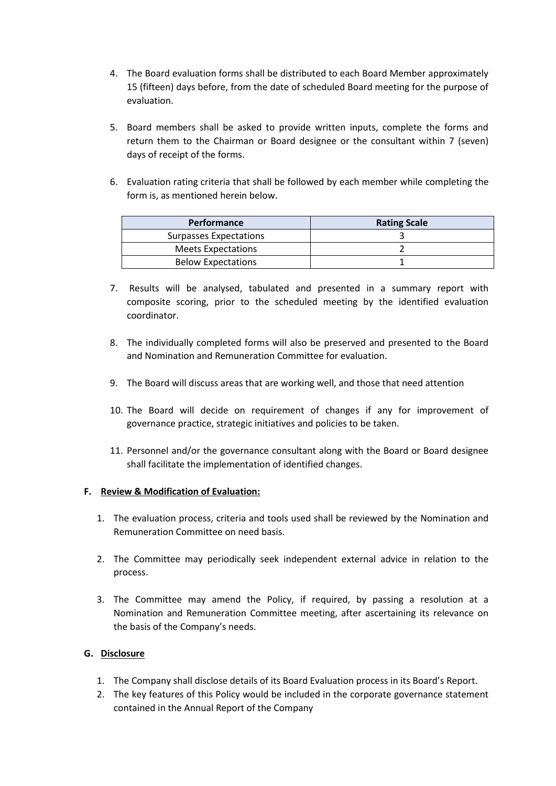- 4. The Board evaluation forms shall be distributed to each Board Member approximately 15 (fifteen) days before, from the date of scheduled Board meeting for the purpose of evaluation.
- 5. Board members shall be asked to provide written inputs, complete the forms and return them to the Chairman or Board designee or the consultant within 7 (seven) days of receipt of the forms.
- 6. Evaluation rating criteria that shall be followed by each member while completing the form is, as mentioned herein below.

| <b>Performance</b>            | <b>Rating Scale</b> |
|-------------------------------|---------------------|
| <b>Surpasses Expectations</b> |                     |
| <b>Meets Expectations</b>     |                     |
| <b>Below Expectations</b>     |                     |

- 7. Results will be analysed, tabulated and presented in a summary report with composite scoring, prior to the scheduled meeting by the identified evaluation coordinator.
- 8. The individually completed forms will also be preserved and presented to the Board and Nomination and Remuneration Committee for evaluation.
- 9. The Board will discuss areas that are working well, and those that need attention
- 10. The Board will decide on requirement of changes if any for improvement of governance practice, strategic initiatives and policies to be taken.
- 11. Personnel and/or the governance consultant along with the Board or Board designee shall facilitate the implementation of identified changes.

#### **F. Review & Modification of Evaluation:**

- 1. The evaluation process, criteria and tools used shall be reviewed by the Nomination and Remuneration Committee on need basis.
- 2. The Committee may periodically seek independent external advice in relation to the process.
- 3. The Committee may amend the Policy, if required, by passing a resolution at a Nomination and Remuneration Committee meeting, after ascertaining its relevance on the basis of the Company's needs.

# **G. Disclosure**

- 1. The Company shall disclose details of its Board Evaluation process in its Board's Report.
- 2. The key features of this Policy would be included in the corporate governance statement contained in the Annual Report of the Company